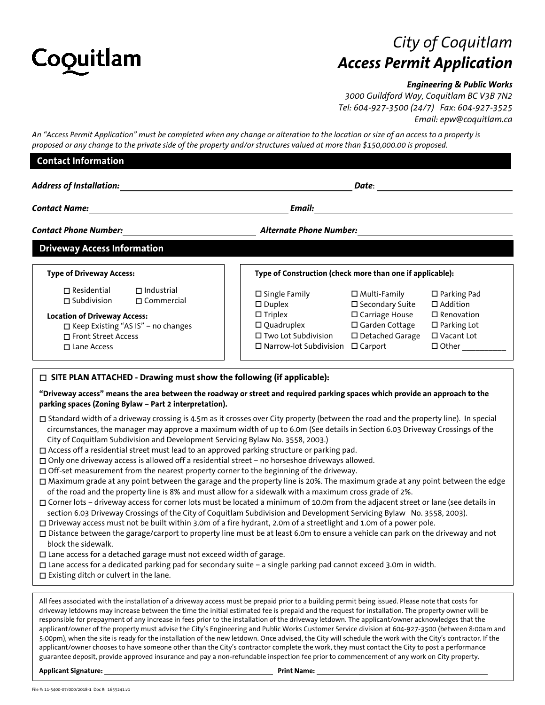

# *City of Coquitlam Access Permit Application*

## *Engineering & Public Works*

*3000 Guildford Way, Coquitlam BC V3B 7N2 Tel: 604-927-3500 (24/7) Fax: 604-927-3525 Email: epw@coquitlam.ca*

*An "Access Permit Application" must be completed when any change or alteration to the location or size of an access to a property is proposed or any change to the private side of the property and/or structures valued at more than \$150,000.00 is proposed.*

| <b>Contact Information</b>                                                         |                                                        |                                                                                                                                                                                                        |                                               |                                                                 |
|------------------------------------------------------------------------------------|--------------------------------------------------------|--------------------------------------------------------------------------------------------------------------------------------------------------------------------------------------------------------|-----------------------------------------------|-----------------------------------------------------------------|
|                                                                                    |                                                        |                                                                                                                                                                                                        |                                               |                                                                 |
|                                                                                    |                                                        |                                                                                                                                                                                                        |                                               |                                                                 |
| <b>Driveway Access Information</b>                                                 |                                                        |                                                                                                                                                                                                        |                                               |                                                                 |
| <b>Type of Driveway Access:</b>                                                    |                                                        | Type of Construction (check more than one if applicable):                                                                                                                                              |                                               |                                                                 |
| $\Box$ Residential $\Box$ Industrial<br>$\Box$ Subdivision $\Box$ Commercial       |                                                        | $\square$ Single Family<br>$\square$ Duplex                                                                                                                                                            | $\square$ Multi-Family<br>□ Secondary Suite   | $\square$ Parking Pad<br>□ Addition                             |
| <b>Location of Driveway Access:</b><br>□ Front Street Access<br>$\Box$ Lane Access | □ Keep Existing "AS IS" - no changes                   | $\Box$ Triplex<br>$\square$ Quadruplex $\square$ Garden Cottage<br>$\square$ Two Lot Subdivision<br>$\square$ Narrow-lot Subdivision $\square$ Carport                                                 | □ Carriage House<br>$\square$ Detached Garage | $\square$ Renovation<br>$\Box$ Parking Lot<br>$\Box$ Vacant Lot |
|                                                                                    | parking spaces (Zoning Bylaw - Part 2 interpretation). | □ SITE PLAN ATTACHED - Drawing must show the following (if applicable):<br>"Driveway access" means the area between the roadway or street and required parking spaces which provide an approach to the |                                               |                                                                 |
|                                                                                    |                                                        | □ Standard width of a driveway crossing is 4.5m as it crosses over City property (between the road and the property line). In special                                                                  |                                               |                                                                 |

- circumstances, the manager may approve a maximum width of up to 6.0m (See details in Section 6.03 Driveway Crossings of the City of Coquitlam Subdivision and Development Servicing Bylaw No. 3558, 2003.)
- Access off a residential street must lead to an approved parking structure or parking pad.
- Only one driveway access is allowed off a residential street no horseshoe driveways allowed.
- $\Box$  Off-set measurement from the nearest property corner to the beginning of the driveway.
- $\Box$  Maximum grade at any point between the garage and the property line is 20%. The maximum grade at any point between the edge of the road and the property line is 8% and must allow for a sidewalk with a maximum cross grade of 2%.
- Corner lots driveway access for corner lots must be located a minimum of 10.0m from the adjacent street or lane (see details in section 6.03 Driveway Crossings of the City of Coquitlam Subdivision and Development Servicing Bylaw No. 3558, 2003).
- Driveway access must not be built within 3.0m of a fire hydrant, 2.0m of a streetlight and 1.0m of a power pole.
- Distance between the garage/carport to property line must be at least 6.0m to ensure a vehicle can park on the driveway and not block the sidewalk.
- $\square$  Lane access for a detached garage must not exceed width of garage.
- Lane access for a dedicated parking pad for secondary suite a single parking pad cannot exceed 3.0m in width.
- $\square$  Existing ditch or culvert in the lane.

All fees associated with the installation of a driveway access must be prepaid prior to a building permit being issued. Please note that costs for driveway letdowns may increase between the time the initial estimated fee is prepaid and the request for installation. The property owner will be responsible for prepayment of any increase in fees prior to the installation of the driveway letdown. The applicant/owner acknowledges that the applicant/owner of the property must advise the City's Engineering and Public Works Customer Service division at 604-927-3500 (between 8:00am and 5:00pm), when the site is ready for the installation of the new letdown. Once advised, the City will schedule the work with the City's contractor. If the applicant/owner chooses to have someone other than the City's contractor complete the work, they must contact the City to post a performance guarantee deposit, provide approved insurance and pay a non-refundable inspection fee prior to commencement of any work on City property.

**Applicant Signature:**  Print Name: **Print Name: Print Name: Print Name: Print Name: Print Name: Print Name: Print Name: Print Name: Print Name: Print Name: Print Name: Print Name: Print Name: Pri**